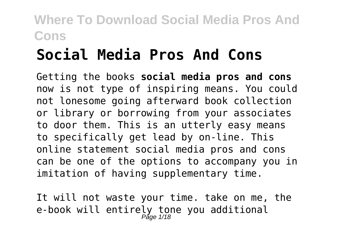# **Social Media Pros And Cons**

Getting the books **social media pros and cons** now is not type of inspiring means. You could not lonesome going afterward book collection or library or borrowing from your associates to door them. This is an utterly easy means to specifically get lead by on-line. This online statement social media pros and cons can be one of the options to accompany you in imitation of having supplementary time.

It will not waste your time. take on me, the e-book will entirely tone you additional<br>Page 1/18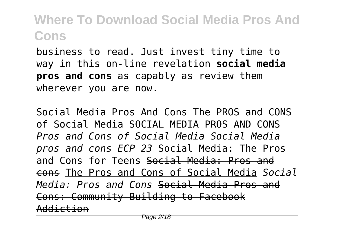business to read. Just invest tiny time to way in this on-line revelation **social media pros and cons** as capably as review them wherever you are now.

Social Media Pros And Cons The PROS and CONS of Social Media SOCIAL MEDIA PROS AND CONS *Pros and Cons of Social Media Social Media pros and cons ECP 23* Social Media: The Pros and Cons for Teens Social Media: Pros and cons The Pros and Cons of Social Media *Social Media: Pros and Cons* Social Media Pros and Cons: Community Building to Facebook Addiction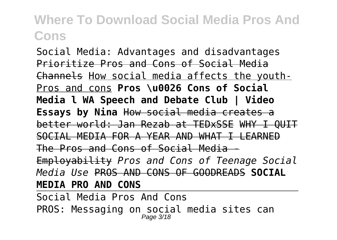Social Media: Advantages and disadvantages Prioritize Pros and Cons of Social Media Channels How social media affects the youth-Pros and cons **Pros \u0026 Cons of Social Media l WA Speech and Debate Club | Video Essays by Nina** How social media creates a better world: Jan Rezab at TEDxSSE WHY I QUIT SOCIAL MEDIA FOR A YEAR AND WHAT I LEARNED The Pros and Cons of Social Media - Employability *Pros and Cons of Teenage Social Media Use* PROS AND CONS OF GOODREADS **SOCIAL MEDIA PRO AND CONS**

Social Media Pros And Cons PROS: Messaging on social media sites can Page 3/18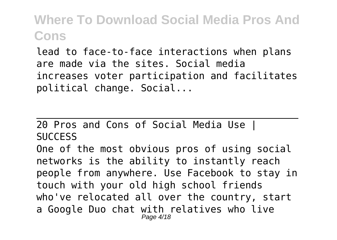lead to face-to-face interactions when plans are made via the sites. Social media increases voter participation and facilitates political change. Social...

#### 20 Pros and Cons of Social Media Use | **SUCCESS**

One of the most obvious pros of using social networks is the ability to instantly reach people from anywhere. Use Facebook to stay in touch with your old high school friends who've relocated all over the country, start a Google Duo chat with relatives who live Page 4/18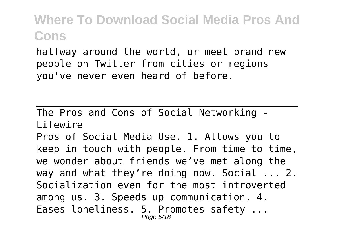halfway around the world, or meet brand new people on Twitter from cities or regions you've never even heard of before.

The Pros and Cons of Social Networking - Lifewire

Pros of Social Media Use. 1. Allows you to keep in touch with people. From time to time, we wonder about friends we've met along the way and what they're doing now. Social ... 2. Socialization even for the most introverted among us. 3. Speeds up communication. 4. Eases loneliness. 5. Promotes safety ... Page 5/18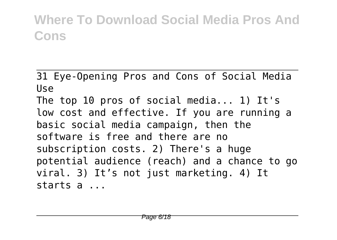31 Eye-Opening Pros and Cons of Social Media Use

The top 10 pros of social media... 1) It's low cost and effective. If you are running a basic social media campaign, then the software is free and there are no subscription costs. 2) There's a huge potential audience (reach) and a chance to go viral. 3) It's not just marketing. 4) It starts a ...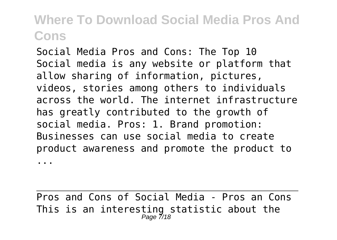Social Media Pros and Cons: The Top 10 Social media is any website or platform that allow sharing of information, pictures, videos, stories among others to individuals across the world. The internet infrastructure has greatly contributed to the growth of social media. Pros: 1. Brand promotion: Businesses can use social media to create product awareness and promote the product to

...

Pros and Cons of Social Media - Pros an Cons This is an interesting statistic about the Page 7/18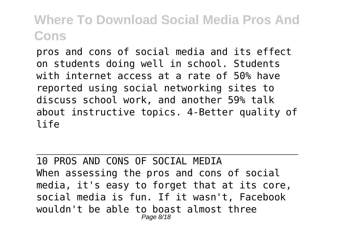pros and cons of social media and its effect on students doing well in school. Students with internet access at a rate of 50% have reported using social networking sites to discuss school work, and another 59% talk about instructive topics. 4-Better quality of life

10 PROS AND CONS OF SOCIAL MEDIA When assessing the pros and cons of social media, it's easy to forget that at its core, social media is fun. If it wasn't, Facebook wouldn't be able to boast almost three Page 8/18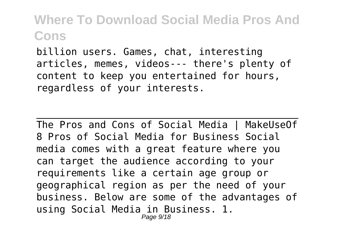billion users. Games, chat, interesting articles, memes, videos--- there's plenty of content to keep you entertained for hours, regardless of your interests.

The Pros and Cons of Social Media | MakeUseOf 8 Pros of Social Media for Business Social media comes with a great feature where you can target the audience according to your requirements like a certain age group or geographical region as per the need of your business. Below are some of the advantages of using Social Media in Business. 1. Page 9/18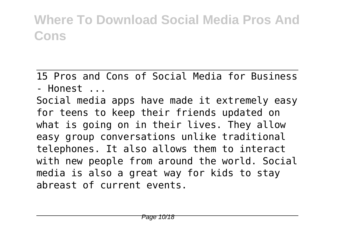15 Pros and Cons of Social Media for Business - Honest ...

Social media apps have made it extremely easy for teens to keep their friends updated on what is going on in their lives. They allow easy group conversations unlike traditional telephones. It also allows them to interact with new people from around the world. Social media is also a great way for kids to stay abreast of current events.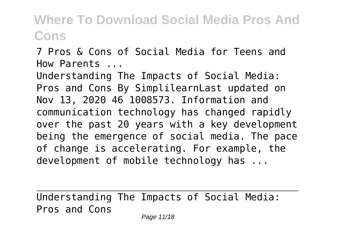7 Pros & Cons of Social Media for Teens and How Parents ...

Understanding The Impacts of Social Media: Pros and Cons By SimplilearnLast updated on Nov 13, 2020 46 1008573. Information and communication technology has changed rapidly over the past 20 years with a key development being the emergence of social media. The pace of change is accelerating. For example, the development of mobile technology has ...

Understanding The Impacts of Social Media: Pros and Cons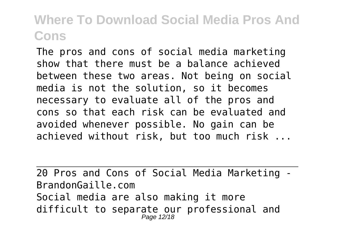The pros and cons of social media marketing show that there must be a balance achieved between these two areas. Not being on social media is not the solution, so it becomes necessary to evaluate all of the pros and cons so that each risk can be evaluated and avoided whenever possible. No gain can be achieved without risk, but too much risk ...

20 Pros and Cons of Social Media Marketing - BrandonGaille.com Social media are also making it more difficult to separate our professional and Page 12/18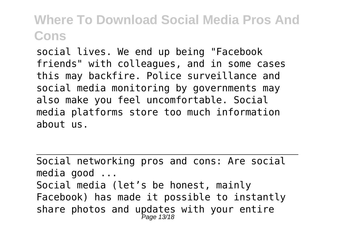social lives. We end up being "Facebook friends" with colleagues, and in some cases this may backfire. Police surveillance and social media monitoring by governments may also make you feel uncomfortable. Social media platforms store too much information about us.

Social networking pros and cons: Are social media good ... Social media (let's be honest, mainly Facebook) has made it possible to instantly share photos and updates with your entire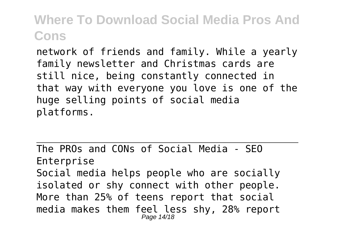network of friends and family. While a yearly family newsletter and Christmas cards are still nice, being constantly connected in that way with everyone you love is one of the huge selling points of social media platforms.

The PROs and CONs of Social Media - SEO Enterprise Social media helps people who are socially isolated or shy connect with other people. More than 25% of teens report that social media makes them feel less shy, 28% report Page 14/18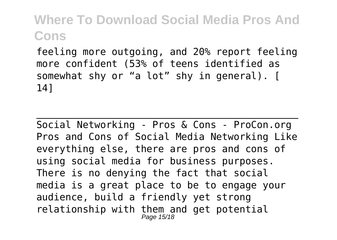feeling more outgoing, and 20% report feeling more confident (53% of teens identified as somewhat shy or "a lot" shy in general). [ 14]

Social Networking - Pros & Cons - ProCon.org Pros and Cons of Social Media Networking Like everything else, there are pros and cons of using social media for business purposes. There is no denying the fact that social media is a great place to be to engage your audience, build a friendly yet strong relationship with them and get potential Page 15/18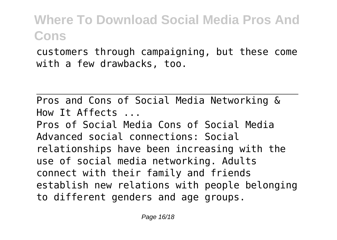customers through campaigning, but these come with a few drawbacks, too.

Pros and Cons of Social Media Networking & How It Affects ...

Pros of Social Media Cons of Social Media Advanced social connections: Social relationships have been increasing with the use of social media networking. Adults connect with their family and friends establish new relations with people belonging to different genders and age groups.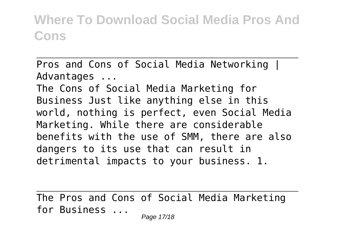Pros and Cons of Social Media Networking | Advantages ...

The Cons of Social Media Marketing for Business Just like anything else in this world, nothing is perfect, even Social Media Marketing. While there are considerable benefits with the use of SMM, there are also dangers to its use that can result in detrimental impacts to your business. 1.

The Pros and Cons of Social Media Marketing for Business ...